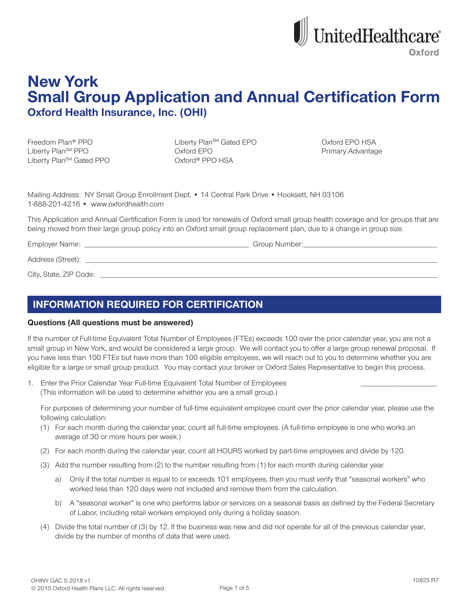

# **New York Small Group Application and Annual Certification Form Oxford Health Insurance, Inc. (OHI)**

Freedom Plan<sup>®</sup> PPO Liberty Plan<sup>SM</sup> PPO Liberty Plan<sup>SM</sup> Gated PPO Liberty Plan<sup>sM</sup> Gated EPO Oxford EPO Oxford® PPO HSA

Oxford EPO HSA Primary Advantage

Mailing Address: NY Small Group Enrollment Dept. • 14 Central Park Drive • Hooksett, NH 03106 1-888-201-4216 • www.oxfordhealth.com

This Application and Annual Certification Form is used for renewals of Oxford small group health coverage and for groups that are being moved from their large group policy into an Oxford small group replacement plan, due to a change in group size.

Employer Name: \_\_

Address (Street):

City, State, ZIP Code:

# **INFORMATION REQUIRED FOR CERTIFICATION**

# **Questions (All questions must be answered)**

If the number of Full-time Equivalent Total Number of Employees (FTEs) exceeds 100 over the prior calendar year, you are not a small group in New York, and would be considered a large group. We will contact you to offer a large group renewal proposal. If you have less than 100 FTEs but have more than 100 eligible employees, we will reach out to you to determine whether you are eligible for a large or small group product. You may contact your broker or Oxford Sales Representative to begin this process.

1. Enter the Prior Calendar Year Full-time Equivalent Total Number of Employees (This information will be used to determine whether you are a small group.)

For purposes of determining your number of full-time equivalent employee count over the prior calendar year, please use the following calculation:

- (1) For each month during the calendar year, count all full-time employees. (A full-time employee is one who works an average of 30 or more hours per week.)
- (2) For each month during the calendar year, count all HOURS worked by part-time employees and divide by 120.
- (3) Add the number resulting from (2) to the number resulting from (1) for each month during calendar year.
	- a) Only if the total number is equal to or exceeds 101 employees, then you must verify that "seasonal workers" who worked less than 120 days were not included and remove them from the calculation.
	- b) A "seasonal worker" is one who performs labor or services on a seasonal basis as defined by the Federal Secretary of Labor, including retail workers employed only during a holiday season.
- (4) Divide the total number of (3) by 12. If the business was new and did not operate for all of the previous calendar year, divide by the number of months of data that were used.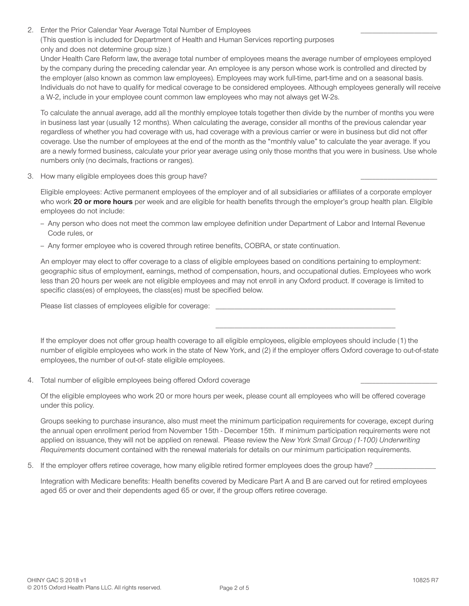2. Enter the Prior Calendar Year Average Total Number of Employees (This question is included for Department of Health and Human Services reporting purposes only and does not determine group size.)

Under Health Care Reform law, the average total number of employees means the average number of employees employed by the company during the preceding calendar year. An employee is any person whose work is controlled and directed by the employer (also known as common law employees). Employees may work full-time, part-time and on a seasonal basis. Individuals do not have to qualify for medical coverage to be considered employees. Although employees generally will receive a W-2, include in your employee count common law employees who may not always get W-2s.

To calculate the annual average, add all the monthly employee totals together then divide by the number of months you were in business last year (usually 12 months). When calculating the average, consider all months of the previous calendar year regardless of whether you had coverage with us, had coverage with a previous carrier or were in business but did not offer coverage. Use the number of employees at the end of the month as the "monthly value" to calculate the year average. If you are a newly formed business, calculate your prior year average using only those months that you were in business. Use whole numbers only (no decimals, fractions or ranges).

3. How many eligible employees does this group have?

Eligible employees: Active permanent employees of the employer and of all subsidiaries or affiliates of a corporate employer who work 20 or more hours per week and are eligible for health benefits through the employer's group health plan. Eligible employees do not include:

- Any person who does not meet the common law employee definition under Department of Labor and Internal Revenue Code rules, or
- Any former employee who is covered through retiree benefits, COBRA, or state continuation.

An employer may elect to offer coverage to a class of eligible employees based on conditions pertaining to employment: geographic situs of employment, earnings, method of compensation, hours, and occupational duties. Employees who work less than 20 hours per week are not eligible employees and may not enroll in any Oxford product. If coverage is limited to specific class(es) of employees, the class(es) must be specified below.

Please list classes of employees eligible for coverage: \_

If the employer does not offer group health coverage to all eligible employees, eligible employees should include (1) the number of eligible employees who work in the state of New York, and (2) if the employer offers Oxford coverage to out-of-state employees, the number of out-of-state eligible employees.

4. Total number of eligible employees being offered Oxford coverage

Of the eligible employees who work 20 or more hours per week, please count all employees who will be offered coverage under this policy.

Groups seeking to purchase insurance, also must meet the minimum participation requirements for coverage, except during the annual open enrollment period from November 15th - December 15th. If minimum participation requirements were not applied on issuance, they will not be applied on renewal. Please review the New York Small Group (1-100) Underwriting Requirements document contained with the renewal materials for details on our minimum participation requirements.

5. If the employer offers retiree coverage, how many eligible retired former employees does the group have? \_

Integration with Medicare benefits: Health benefits covered by Medicare Part A and B are carved out for retired employees aged 65 or over and their dependents aged 65 or over, if the group offers retiree coverage.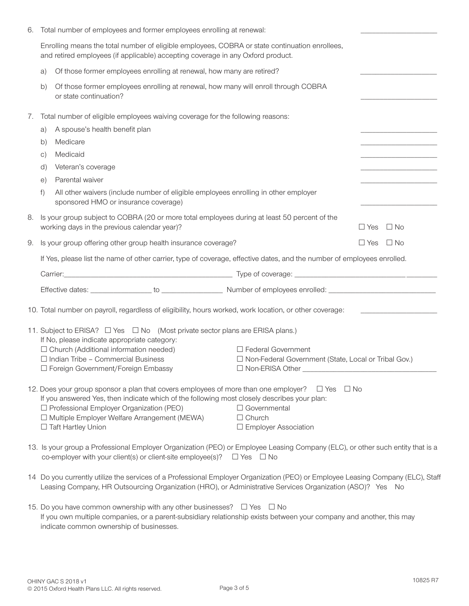| 6. |                                                                                                                                                                                                                                              | Total number of employees and former employees enrolling at renewal:                                                                                                                                                                       |  |                                                                                                                                |            |                                                             |  |
|----|----------------------------------------------------------------------------------------------------------------------------------------------------------------------------------------------------------------------------------------------|--------------------------------------------------------------------------------------------------------------------------------------------------------------------------------------------------------------------------------------------|--|--------------------------------------------------------------------------------------------------------------------------------|------------|-------------------------------------------------------------|--|
|    | Enrolling means the total number of eligible employees, COBRA or state continuation enrollees,<br>and retired employees (if applicable) accepting coverage in any Oxford product.                                                            |                                                                                                                                                                                                                                            |  |                                                                                                                                |            |                                                             |  |
|    | a)                                                                                                                                                                                                                                           |                                                                                                                                                                                                                                            |  |                                                                                                                                |            |                                                             |  |
|    | Of those former employees enrolling at renewal, how many will enroll through COBRA<br>b)<br>or state continuation?                                                                                                                           |                                                                                                                                                                                                                                            |  |                                                                                                                                |            |                                                             |  |
| 7. | Total number of eligible employees waiving coverage for the following reasons:                                                                                                                                                               |                                                                                                                                                                                                                                            |  |                                                                                                                                |            |                                                             |  |
|    | A spouse's health benefit plan<br>a)                                                                                                                                                                                                         |                                                                                                                                                                                                                                            |  |                                                                                                                                |            |                                                             |  |
|    | Medicare<br>b)                                                                                                                                                                                                                               |                                                                                                                                                                                                                                            |  |                                                                                                                                |            |                                                             |  |
|    | C)                                                                                                                                                                                                                                           | Medicaid                                                                                                                                                                                                                                   |  |                                                                                                                                |            | the control of the control of the control of the control of |  |
|    | Veteran's coverage<br>d)                                                                                                                                                                                                                     |                                                                                                                                                                                                                                            |  |                                                                                                                                |            |                                                             |  |
|    | $\Theta$ )                                                                                                                                                                                                                                   | Parental waiver                                                                                                                                                                                                                            |  |                                                                                                                                |            |                                                             |  |
|    | All other waivers (include number of eligible employees enrolling in other employer<br>f)<br>sponsored HMO or insurance coverage)                                                                                                            |                                                                                                                                                                                                                                            |  |                                                                                                                                |            |                                                             |  |
| 8. | Is your group subject to COBRA (20 or more total employees during at least 50 percent of the<br>working days in the previous calendar year)?<br>$\Box$ Yes<br>$\Box$ No                                                                      |                                                                                                                                                                                                                                            |  |                                                                                                                                |            |                                                             |  |
| 9. | Is your group offering other group health insurance coverage?                                                                                                                                                                                |                                                                                                                                                                                                                                            |  |                                                                                                                                | $\Box$ Yes | $\Box$ No                                                   |  |
|    |                                                                                                                                                                                                                                              | If Yes, please list the name of other carrier, type of coverage, effective dates, and the number of employees enrolled.                                                                                                                    |  |                                                                                                                                |            |                                                             |  |
|    |                                                                                                                                                                                                                                              |                                                                                                                                                                                                                                            |  |                                                                                                                                |            |                                                             |  |
|    |                                                                                                                                                                                                                                              |                                                                                                                                                                                                                                            |  |                                                                                                                                |            |                                                             |  |
|    |                                                                                                                                                                                                                                              |                                                                                                                                                                                                                                            |  | 10. Total number on payroll, regardless of eligibility, hours worked, work location, or other coverage:                        |            |                                                             |  |
|    |                                                                                                                                                                                                                                              |                                                                                                                                                                                                                                            |  |                                                                                                                                |            |                                                             |  |
|    |                                                                                                                                                                                                                                              | 11. Subject to ERISA? □ Yes □ No (Most private sector plans are ERISA plans.)<br>If No, please indicate appropriate category:                                                                                                              |  |                                                                                                                                |            |                                                             |  |
|    | $\Box$ Church (Additional information needed)                                                                                                                                                                                                |                                                                                                                                                                                                                                            |  | $\Box$ Federal Government                                                                                                      |            |                                                             |  |
|    | $\Box$ Indian Tribe - Commercial Business                                                                                                                                                                                                    |                                                                                                                                                                                                                                            |  | □ Non-Federal Government (State, Local or Tribal Gov.)                                                                         |            |                                                             |  |
|    | □ Foreign Government/Foreign Embassy<br>$\Box$ Non-ERISA Other $\_$                                                                                                                                                                          |                                                                                                                                                                                                                                            |  |                                                                                                                                |            |                                                             |  |
|    |                                                                                                                                                                                                                                              |                                                                                                                                                                                                                                            |  | 12. Does your group sponsor a plan that covers employees of more than one employer? $\Box$ Yes $\Box$ No                       |            |                                                             |  |
|    | If you answered Yes, then indicate which of the following most closely describes your plan:<br>□ Professional Employer Organization (PEO)                                                                                                    |                                                                                                                                                                                                                                            |  |                                                                                                                                |            |                                                             |  |
|    |                                                                                                                                                                                                                                              | □ Multiple Employer Welfare Arrangement (MEWA)                                                                                                                                                                                             |  | $\Box$ Governmental<br>$\Box$ Church                                                                                           |            |                                                             |  |
|    | □ Taft Hartley Union                                                                                                                                                                                                                         |                                                                                                                                                                                                                                            |  | □ Employer Association                                                                                                         |            |                                                             |  |
|    |                                                                                                                                                                                                                                              | co-employer with your client(s) or client-site employee(s)? $\Box$ Yes $\Box$ No                                                                                                                                                           |  | 13. Is your group a Professional Employer Organization (PEO) or Employee Leasing Company (ELC), or other such entity that is a |            |                                                             |  |
|    | 14 Do you currently utilize the services of a Professional Employer Organization (PEO) or Employee Leasing Company (ELC), Staff<br>Leasing Company, HR Outsourcing Organization (HRO), or Administrative Services Organization (ASO)? Yes No |                                                                                                                                                                                                                                            |  |                                                                                                                                |            |                                                             |  |
|    |                                                                                                                                                                                                                                              | 15. Do you have common ownership with any other businesses? □ Yes □ No<br>If you own multiple companies, or a parent-subsidiary relationship exists between your company and another, this may<br>indicate common ownership of businesses. |  |                                                                                                                                |            |                                                             |  |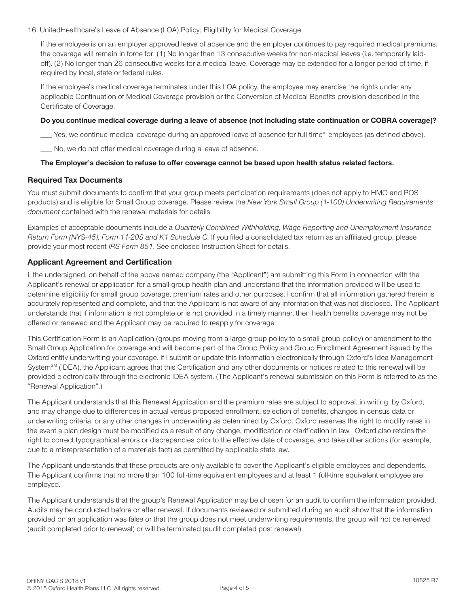16. UnitedHealthcare's Leave of Absence (LOA) Policy; Eligibility for Medical Coverage

If the employee is on an employer approved leave of absence and the employer continues to pay required medical premiums, the coverage will remain in force for: (1) No longer than 13 consecutive weeks for non-medical leaves (i.e. temporarily laidoff). (2) No longer than 26 consecutive weeks for a medical leave. Coverage may be extended for a longer period of time, if required by local, state or federal rules.

If the employee's medical coverage terminates under this LOA policy, the employee may exercise the rights under any applicable Continuation of Medical Coverage provision or the Conversion of Medical Benefits provision described in the Certificate of Coverage.

#### Do you continue medical coverage during a leave of absence (not including state continuation or COBRA coverage)?

Yes, we continue medical coverage during an approved leave of absence for full time\* employees (as defined above).

\_\_ No, we do not offer medical coverage during a leave of absence.

#### The Employer's decision to refuse to offer coverage cannot be based upon health status related factors.

# **Required Tax Documents**

You must submit documents to confirm that your group meets participation requirements (does not apply to HMO and POS products) and is eligible for Small Group coverage. Please review the New York Small Group (1-100) Underwriting Requirements document contained with the renewal materials for details.

Examples of acceptable documents include a Quarterly Combined Withholding, Wage Reporting and Unemployment Insurance Return Form (NYS-45), Form 11-20S and K1 Schedule C. If you filed a consolidated tax return as an affiliated group, please provide your most recent IRS Form 851. See enclosed Instruction Sheet for details.

# **Applicant Agreement and Certification**

I, the undersigned, on behalf of the above named company (the "Applicant") am submitting this Form in connection with the Applicant's renewal or application for a small group health plan and understand that the information provided will be used to determine eligibility for small group coverage, premium rates and other purposes. I confirm that all information gathered herein is accurately represented and complete, and that the Applicant is not aware of any information that was not disclosed. The Applicant understands that if information is not complete or is not provided in a timely manner, then health benefits coverage may not be offered or renewed and the Applicant may be required to reapply for coverage.

This Certification Form is an Application (groups moving from a large group policy to a small group policy) or amendment to the Small Group Application for coverage and will become part of the Group Policy and Group Enrollment Agreement issued by the Oxford entity underwriting your coverage. If I submit or update this information electronically through Oxford's Idea Management System<sup>SM</sup> (IDEA), the Applicant agrees that this Certification and any other documents or notices related to this renewal will be provided electronically through the electronic IDEA system. (The Applicant's renewal submission on this Form is referred to as the "Renewal Application".)

The Applicant understands that this Renewal Application and the premium rates are subject to approval, in writing, by Oxford, and may change due to differences in actual versus proposed enrollment, selection of benefits, changes in census data or underwriting criteria, or any other changes in underwriting as determined by Oxford. Oxford reserves the right to modify rates in the event a plan design must be modified as a result of any change, modification or clarification in law. Oxford also retains the right to correct typographical errors or discrepancies prior to the effective date of coverage, and take other actions (for example, due to a misrepresentation of a materials fact) as permitted by applicable state law.

The Applicant understands that these products are only available to cover the Applicant's eligible employees and dependents. The Applicant confirms that no more than 100 full-time equivalent employees and at least 1 full-time equivalent employee are employed.

The Applicant understands that the group's Renewal Application may be chosen for an audit to confirm the information provided. Audits may be conducted before or after renewal. If documents reviewed or submitted during an audit show that the information provided on an application was false or that the group does not meet underwriting requirements, the group will not be renewed (audit completed prior to renewal) or will be terminated (audit completed post renewal).